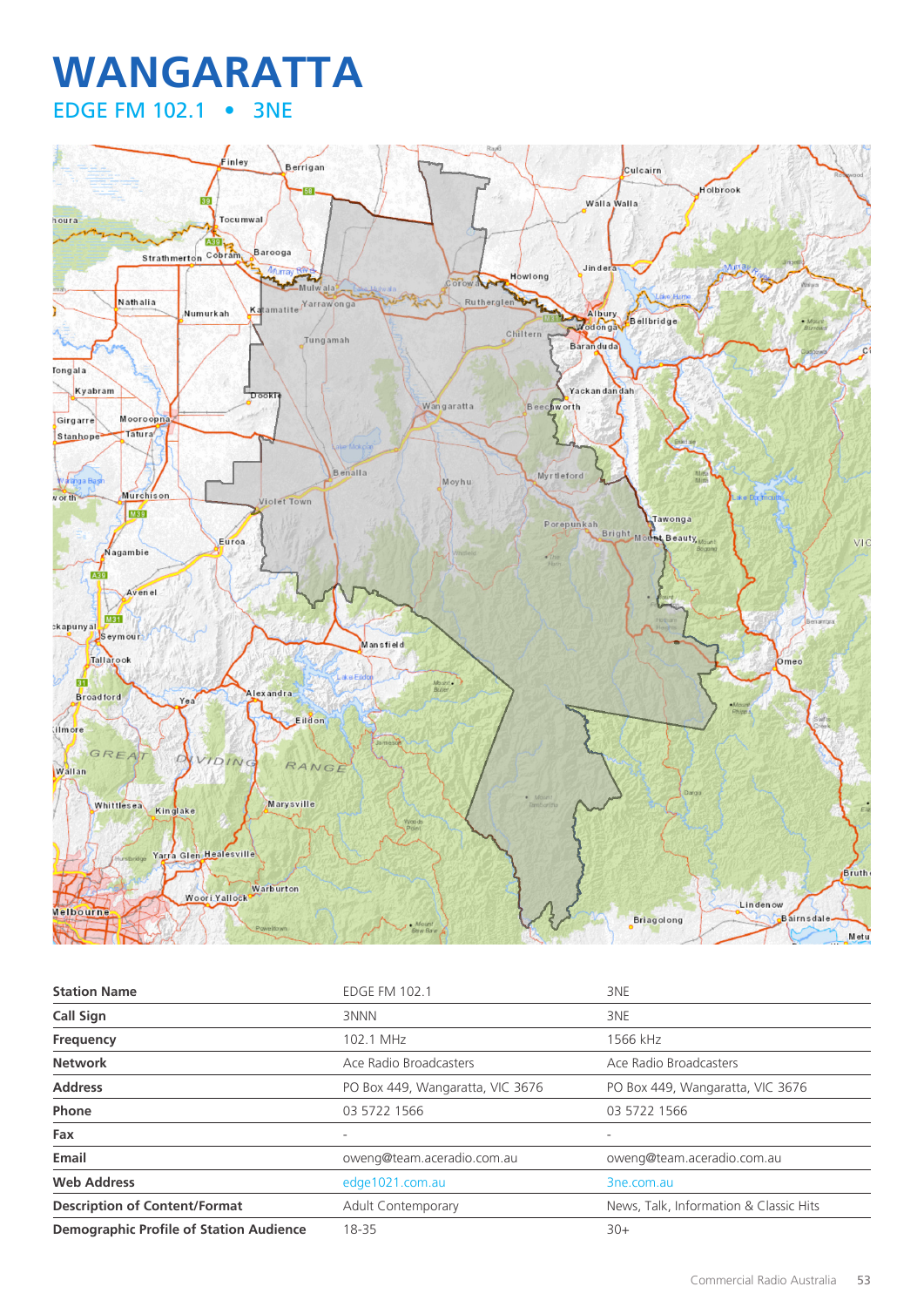## **WANGARATTA** EDGE FM 102.1 • 3NE



| <b>Station Name</b>                            | <b>EDGE FM 102.1</b>             | 3NE                                    |
|------------------------------------------------|----------------------------------|----------------------------------------|
| Call Sign                                      | 3NNN                             | 3NE                                    |
| Frequency                                      | 102.1 MHz                        | 1566 kHz                               |
| <b>Network</b>                                 | Ace Radio Broadcasters           | Ace Radio Broadcasters                 |
| <b>Address</b>                                 | PO Box 449, Wangaratta, VIC 3676 | PO Box 449, Wangaratta, VIC 3676       |
| Phone                                          | 03 5722 1566                     | 03 5722 1566                           |
| Fax                                            |                                  |                                        |
| Email                                          | oweng@team.aceradio.com.au       | oweng@team.aceradio.com.au             |
| <b>Web Address</b>                             | edge1021.com.au                  | 3ne.com.au                             |
| <b>Description of Content/Format</b>           | Adult Contemporary               | News, Talk, Information & Classic Hits |
| <b>Demographic Profile of Station Audience</b> | 18-35                            | $30+$                                  |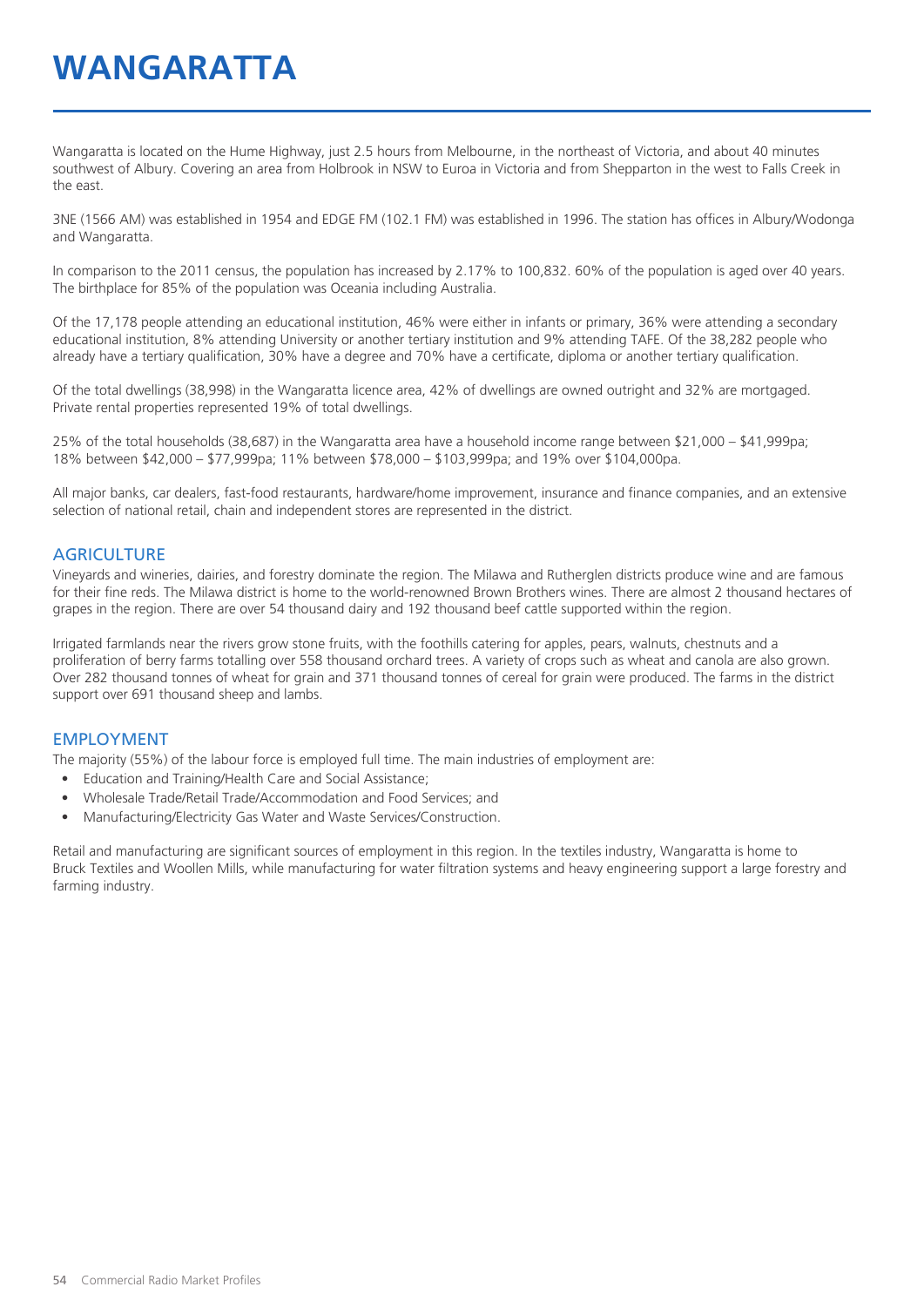## **WANGARATTA**

Wangaratta is located on the Hume Highway, just 2.5 hours from Melbourne, in the northeast of Victoria, and about 40 minutes southwest of Albury. Covering an area from Holbrook in NSW to Euroa in Victoria and from Shepparton in the west to Falls Creek in the east.

3NE (1566 AM) was established in 1954 and EDGE FM (102.1 FM) was established in 1996. The station has offices in Albury/Wodonga and Wangaratta.

In comparison to the 2011 census, the population has increased by 2.17% to 100,832. 60% of the population is aged over 40 years. The birthplace for 85% of the population was Oceania including Australia.

Of the 17,178 people attending an educational institution, 46% were either in infants or primary, 36% were attending a secondary educational institution, 8% attending University or another tertiary institution and 9% attending TAFE. Of the 38,282 people who already have a tertiary qualification, 30% have a degree and 70% have a certificate, diploma or another tertiary qualification.

Of the total dwellings (38,998) in the Wangaratta licence area, 42% of dwellings are owned outright and 32% are mortgaged. Private rental properties represented 19% of total dwellings.

25% of the total households (38,687) in the Wangaratta area have a household income range between \$21,000 – \$41,999pa; 18% between \$42,000 – \$77,999pa; 11% between \$78,000 – \$103,999pa; and 19% over \$104,000pa.

All major banks, car dealers, fast-food restaurants, hardware/home improvement, insurance and finance companies, and an extensive selection of national retail, chain and independent stores are represented in the district.

#### **AGRICULTURE**

Vineyards and wineries, dairies, and forestry dominate the region. The Milawa and Rutherglen districts produce wine and are famous for their fine reds. The Milawa district is home to the world-renowned Brown Brothers wines. There are almost 2 thousand hectares of grapes in the region. There are over 54 thousand dairy and 192 thousand beef cattle supported within the region.

Irrigated farmlands near the rivers grow stone fruits, with the foothills catering for apples, pears, walnuts, chestnuts and a proliferation of berry farms totalling over 558 thousand orchard trees. A variety of crops such as wheat and canola are also grown. Over 282 thousand tonnes of wheat for grain and 371 thousand tonnes of cereal for grain were produced. The farms in the district support over 691 thousand sheep and lambs.

#### EMPLOYMENT

The majority (55%) of the labour force is employed full time. The main industries of employment are:

- Education and Training/Health Care and Social Assistance;
- Wholesale Trade/Retail Trade/Accommodation and Food Services; and
- Manufacturing/Electricity Gas Water and Waste Services/Construction.

Retail and manufacturing are significant sources of employment in this region. In the textiles industry, Wangaratta is home to Bruck Textiles and Woollen Mills, while manufacturing for water filtration systems and heavy engineering support a large forestry and farming industry.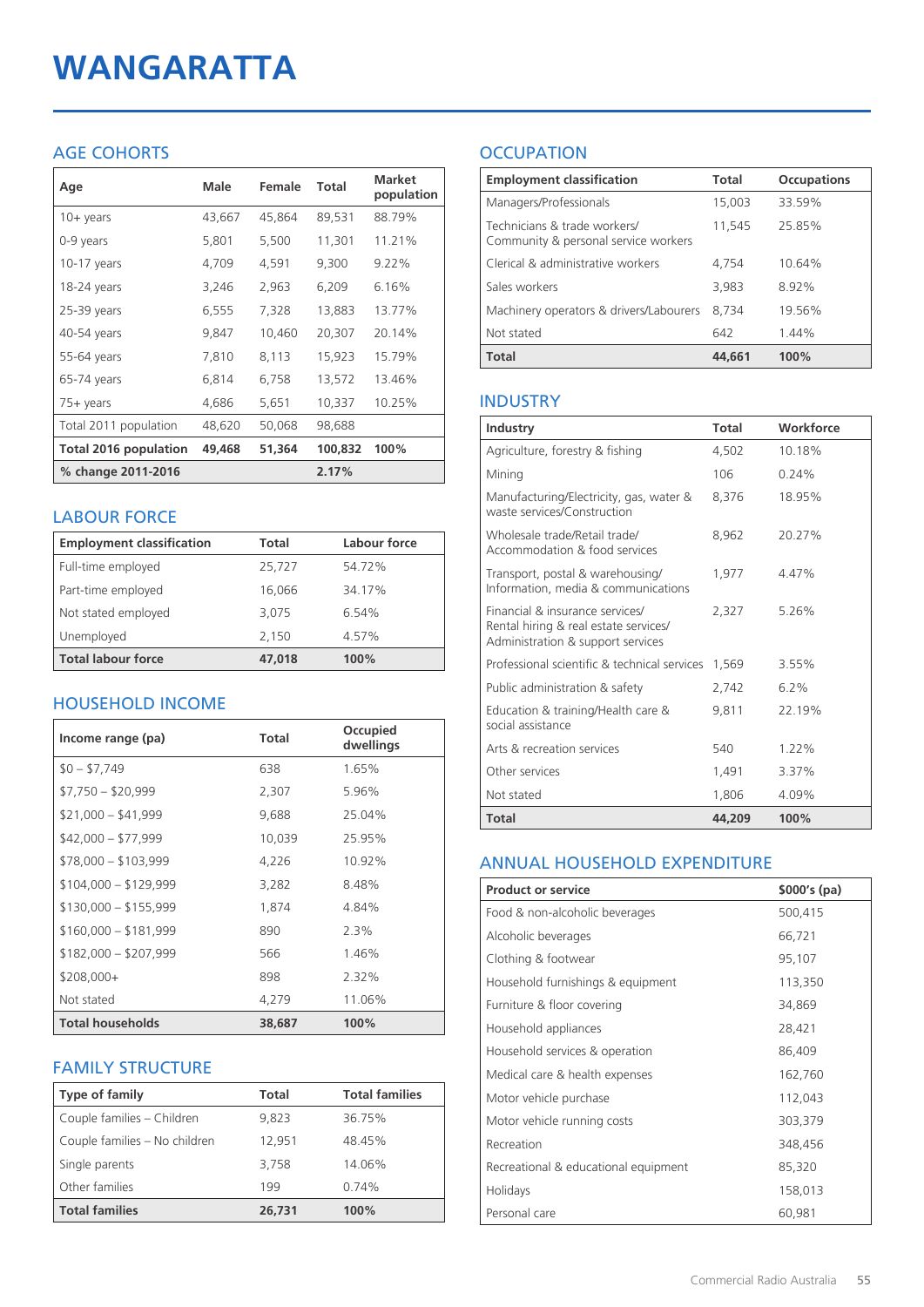# **WANGARATTA**

## AGE COHORTS

| Age                          | Male   | Female | Total   | <b>Market</b><br>population |
|------------------------------|--------|--------|---------|-----------------------------|
| $10 + \gamma$ ears           | 43,667 | 45,864 | 89,531  | 88.79%                      |
| 0-9 years                    | 5,801  | 5,500  | 11,301  | 11.21%                      |
| $10-17$ years                | 4,709  | 4,591  | 9,300   | 9.22%                       |
| 18-24 years                  | 3,246  | 2,963  | 6,209   | 6.16%                       |
| 25-39 years                  | 6,555  | 7,328  | 13,883  | 13.77%                      |
| 40-54 years                  | 9,847  | 10,460 | 20,307  | 20.14%                      |
| 55-64 years                  | 7,810  | 8,113  | 15,923  | 15.79%                      |
| 65-74 years                  | 6,814  | 6,758  | 13,572  | 13.46%                      |
| $75+$ years                  | 4,686  | 5,651  | 10,337  | 10.25%                      |
| Total 2011 population        | 48,620 | 50,068 | 98,688  |                             |
| <b>Total 2016 population</b> | 49,468 | 51,364 | 100,832 | 100%                        |
| % change 2011-2016           |        |        | 2.17%   |                             |

## LABOUR FORCE

| <b>Employment classification</b> | Total  | Labour force |
|----------------------------------|--------|--------------|
| Full-time employed               | 25,727 | 54.72%       |
| Part-time employed               | 16,066 | 34.17%       |
| Not stated employed              | 3.075  | 6.54%        |
| Unemployed                       | 2,150  | 4.57%        |
| <b>Total labour force</b>        | 47,018 | 100%         |

## HOUSEHOLD INCOME

| Income range (pa)       | Total  | Occupied<br>dwellings |
|-------------------------|--------|-----------------------|
| $$0 - $7,749$           | 638    | 1.65%                 |
| $$7,750 - $20,999$      | 2,307  | 5.96%                 |
| $$21,000 - $41,999$     | 9,688  | 25.04%                |
| $$42,000 - $77,999$     | 10,039 | 25.95%                |
| $$78,000 - $103,999$    | 4,226  | 10.92%                |
| $$104,000 - $129,999$   | 3,282  | 8.48%                 |
| $$130,000 - $155,999$   | 1,874  | 4.84%                 |
| $$160,000 - $181,999$   | 890    | $2.3\%$               |
| $$182,000 - $207,999$   | 566    | 1.46%                 |
| $$208,000+$             | 898    | 2.32%                 |
| Not stated              | 4,279  | 11.06%                |
| <b>Total households</b> | 38,687 | 100%                  |

## FAMILY STRUCTURE

| <b>Type of family</b>         | <b>Total</b> | <b>Total families</b> |
|-------------------------------|--------------|-----------------------|
| Couple families - Children    | 9.823        | 36.75%                |
| Couple families - No children | 12.951       | 48.45%                |
| Single parents                | 3,758        | 14.06%                |
| Other families                | 199          | 0.74%                 |
| <b>Total families</b>         | 26,731       | 100%                  |

## **OCCUPATION**

| <b>Employment classification</b>                                     | <b>Total</b> | <b>Occupations</b> |
|----------------------------------------------------------------------|--------------|--------------------|
| Managers/Professionals                                               | 15,003       | 33.59%             |
| Technicians & trade workers/<br>Community & personal service workers | 11,545       | 25.85%             |
| Clerical & administrative workers                                    | 4.754        | 10.64%             |
| Sales workers                                                        | 3,983        | 8.92%              |
| Machinery operators & drivers/Labourers                              | 8.734        | 19.56%             |
| Not stated                                                           | 642          | 1.44%              |
| <b>Total</b>                                                         | 44,661       | 100%               |

## INDUSTRY

| Industry                                                                                                      | Total  | Workforce |
|---------------------------------------------------------------------------------------------------------------|--------|-----------|
| Agriculture, forestry & fishing                                                                               | 4,502  | 10.18%    |
| Mining                                                                                                        | 106    | 0.24%     |
| Manufacturing/Electricity, gas, water &<br>waste services/Construction                                        | 8,376  | 18.95%    |
| Wholesale trade/Retail trade/<br>Accommodation & food services                                                | 8,962  | 20.27%    |
| Transport, postal & warehousing/<br>Information, media & communications                                       | 1,977  | 4.47%     |
| Financial & insurance services/<br>Rental hiring & real estate services/<br>Administration & support services | 2,327  | 5.26%     |
| Professional scientific & technical services                                                                  | 1,569  | 3.55%     |
| Public administration & safety                                                                                | 2,742  | 6.2%      |
| Education & training/Health care &<br>social assistance                                                       | 9.811  | 22.19%    |
| Arts & recreation services                                                                                    | 540    | $1.22\%$  |
| Other services                                                                                                | 1,491  | 3.37%     |
| Not stated                                                                                                    | 1,806  | 4.09%     |
| Total                                                                                                         | 44,209 | 100%      |

## ANNUAL HOUSEHOLD EXPENDITURE

| <b>Product or service</b>            | $$000's$ (pa) |
|--------------------------------------|---------------|
| Food & non-alcoholic beverages       | 500,415       |
| Alcoholic beverages                  | 66,721        |
| Clothing & footwear                  | 95,107        |
| Household furnishings & equipment    | 113,350       |
| Furniture & floor covering           | 34,869        |
| Household appliances                 | 28,421        |
| Household services & operation       | 86,409        |
| Medical care & health expenses       | 162,760       |
| Motor vehicle purchase               | 112,043       |
| Motor vehicle running costs          | 303,379       |
| Recreation                           | 348,456       |
| Recreational & educational equipment | 85,320        |
| Holidays                             | 158,013       |
| Personal care                        | 60,981        |